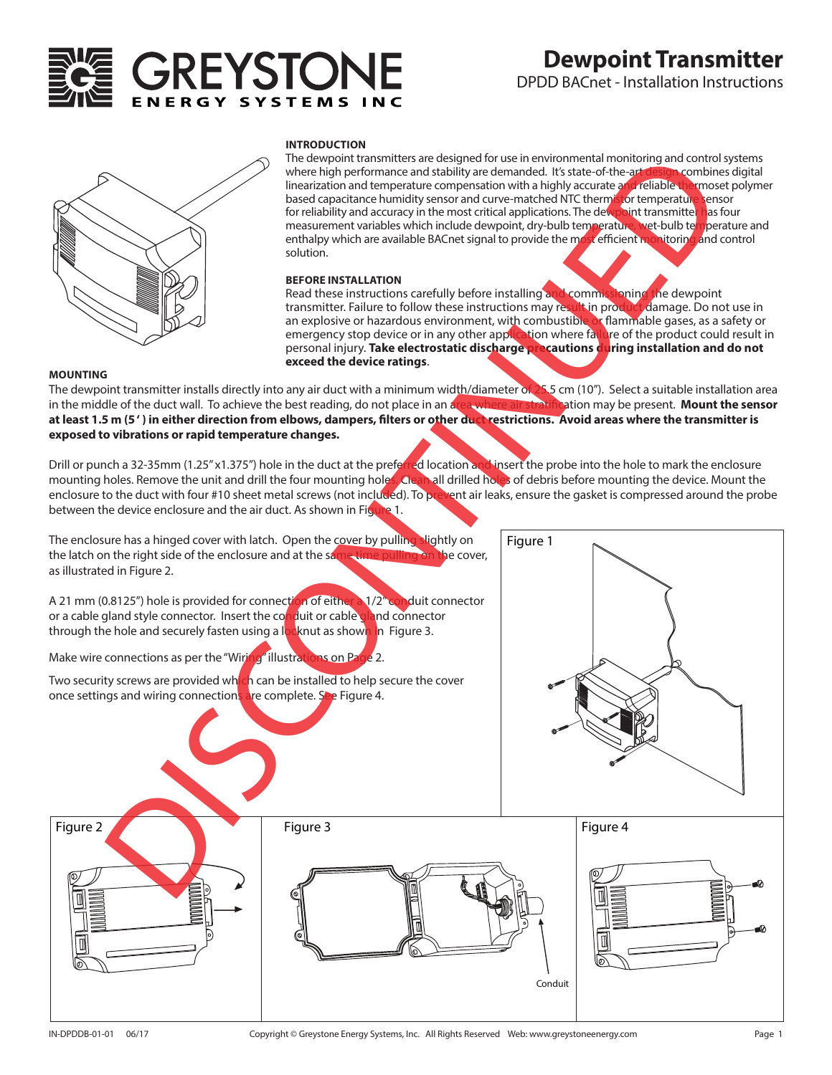# GREYSTON

# **Dewpoint Transmitter**

DPDD BACnet - Installation Instructions



#### **INTRODUCTION**

The dewpoint transmitters are designed for use in environmental monitoring and control systems where high performance and stability are demanded. It's state-of-the-art design combines digital linearization and temperature compensation with a highly accurate and reliable thermoset polymer based capacitance humidity sensor and curve-matched NTC thermistor temperature sensor for reliability and accuracy in the most critical applications. The dewpoint transmitte<mark>r h</mark>as four measurement variables which include dewpoint, dry-bulb temperature, wet-bulb temperature and enthalpy which are available BACnet signal to provide the most efficient monitoring and control solution.

#### **BEFORE INSTALLATION**

Read these instructions carefully before installing and commissioning the dewpoint<br>transmitter. Failure to follow these instructions may result in product damage. Do not use in transmitter. Failure to follow these instructions may result in produ an explosive or hazardous environment, with combustible or flammable gases, as a safety or emergency stop device or in any other application where failure of the product could result in personal injury. **Take electrostatic discharge precautions during installation and do not exceed the device ratings**.

#### **MOUNTING**

The dewpoint transmitter installs directly into any air duct with a minimum width/diameter of 25.5 cm (10"). Select a suitable installation area<br>in the middle of the duct wall. To achieve the best reading, do not place in in the middle of the duct wall. To achieve the best reading, do not place in an area where air at least 1.5 m (5<sup>'</sup>) in either direction from elbows, dampers, filters or other duct restrictions. Avoid areas where the transmitter is **exposed to vibrations or rapid temperature changes.**

Drill or punch a 32-35mm (1.25" x1.375") hole in the duct at the preferred location and insert the probe into the hole to mark the enclosure mounting holes. Remove the unit and drill the four mounting holes. Clean all drilled holes of debris before mounting the device. Mount the enclosure to the duct with four #10 sheet metal screws (not included). To prevent air leaks, ensure the gasket is compressed around the probe between the device enclosure and the air duct. As shown in Figure 1.

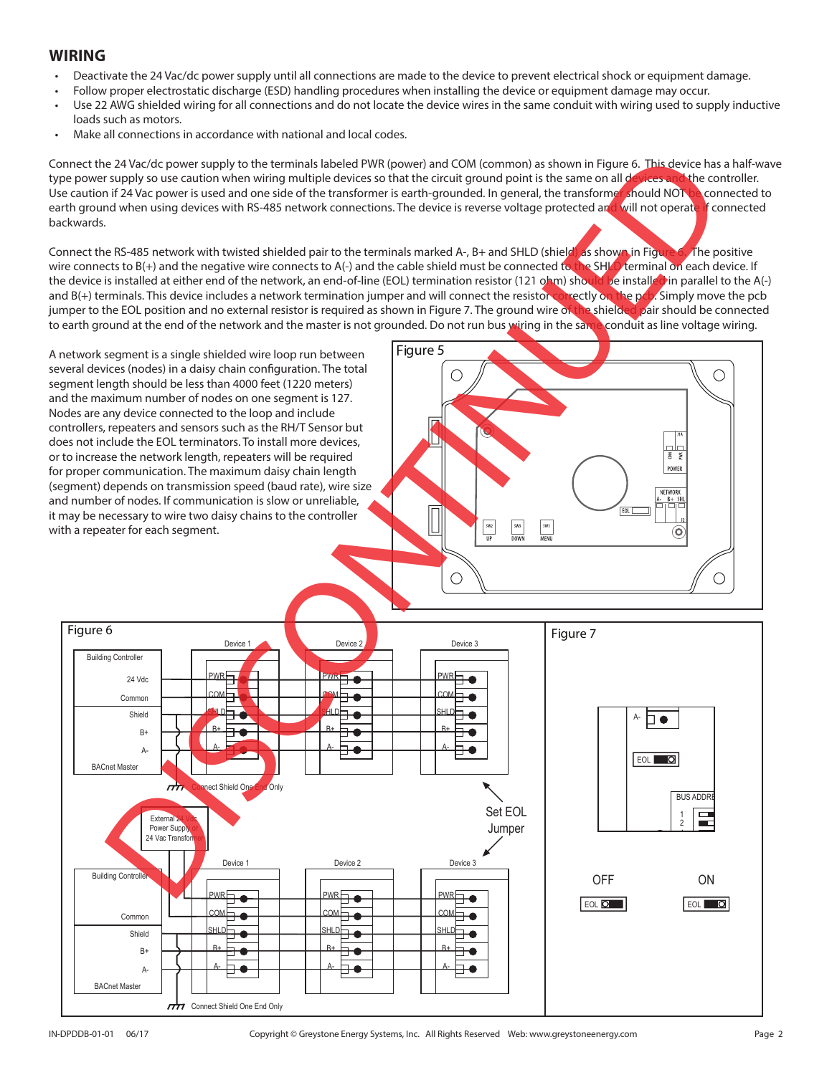## **WIRING**

- Deactivate the 24 Vac/dc power supply until all connections are made to the device to prevent electrical shock or equipment damage.
- Follow proper electrostatic discharge (ESD) handling procedures when installing the device or equipment damage may occur.
- Use 22 AWG shielded wiring for all connections and do not locate the device wires in the same conduit with wiring used to supply inductive loads such as motors.
- Make all connections in accordance with national and local codes.

Connect the 24 Vac/dc power supply to the terminals labeled PWR (power) and COM (common) as shown in Figure 6. This device has a half-wave type power supply so use caution when wiring multiple devices so that the circuit ground point is the same on all devices and the controller. Use caution if 24 Vac power is used and one side of the transformer is earth-grounded. In general, the transformet should NOT be connected to earth ground when using devices with RS-485 network connections. The device is reverse voltage protected and will not operate if connected backwards.

Connect the RS-485 network with twisted shielded pair to the terminals marked A-, B+ and SHLD (shield) as shown in Figure 6. The positive wire connects to B(+) and the negative wire connects to A(-) and the cable shield must be connected to the SHLD terminal on each device. If the device is installed at either end of the network, an end-of-line (EOL) termination resistor (121 ohm) should be installed in parallel to the A(-) and B(+) terminals. This device includes a network termination jumper and will connect the resistor correctly on the pcb. Simply move the pcb jumper to the EOL position and no external resistor is required as shown in Figure 7. The ground wire of the shielded pair should be connected to earth ground at the end of the network and the master is not grounded. Do not run bus wiring in the same conduit as line voltage wiring.

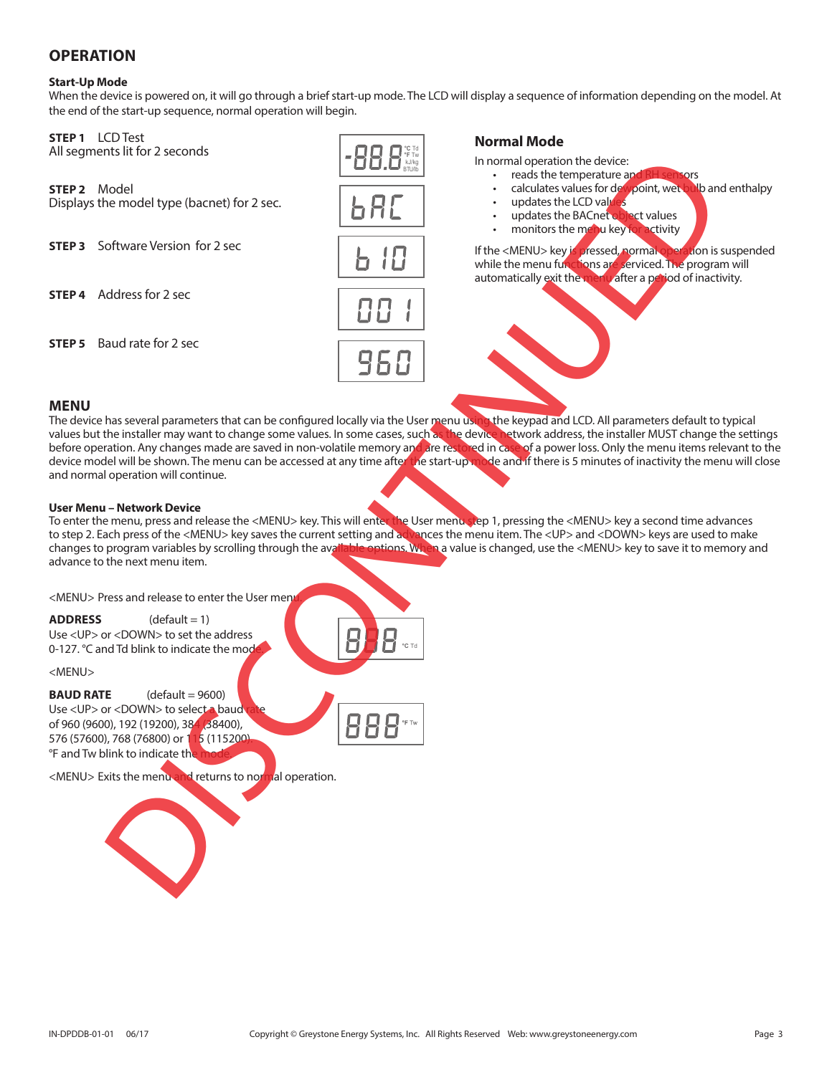## **OPERATION**

#### **Start-Up Mode**

When the device is powered on, it will go through a brief start-up mode. The LCD will display a sequence of information depending on the model. At the end of the start-up sequence, normal operation will begin.

> **°C** Td **°F** Tw kJ/kg

**STEP 1** LCD Test<br>All segments lit for 2 seconds

#### **STEP 2** Model

Displays the model type (bacnet) for 2 sec.

**STEP 3** Software Version for 2 sec

**STEP 4** Address for 2 sec

**STEP 5** Baud rate for 2 sec



#### **Normal Mode**

In normal operation the device:

- 
- reads the temperature and RH sensors<br>calculates values for devipoint, wet bulb and enthalpy • calculates values for dewpoint, wet
- updates the LCD values
- updates the BACnet object values
- monitors the menu key for activity

If the <MENU> key is pressed, normal operation is suspended while the menu functions are serviced. The program will automatically exit the menu after a period of inactivity.

#### **MENU**

The device has several parameters that can be configured locally via the User menu using the keypad and LCD. All parameters default to typical values but the installer may want to change some values. In some cases, such as the device network address, the installer MUST change the settings before operation. Any changes made are saved in non-volatile memory and are restored in case of a power loss. Only the menu items relevant to the device model will be shown. The menu can be accessed at any time after the start-up mode and if there is 5 minutes of inactivity the menu will close and normal operation will continue. maintendeling elbacred for 2 sec<br>
delines for 2 sec<br>
delines for 2 sec<br>
delines for 2 sec<br>
delines for 2 sec<br>
delines for 2 sec<br>
delines for 2 sec<br>
delines for 2 sec<br>
delines for 2 sec<br>
delines for 2 sec<br>
delines for 2 se

#### **User Menu – Network Device**

To enter the menu, press and release the <MENU> key. This will enter the User menustep 1, pressing the <MENU> key a second time advances to step 2. Each press of the <MENU> key saves the current setting and advances the menu item. The <UP> and <DOWN> keys are used to make changes to program variables by scrolling through the available options. When a value options. When a value is changed, use the <MENU> key to save it to memory and advance to the next menu item.

<MENU> Press and release to enter the User men

 $ADDRESS$   $(default = 1)$ Use <UP> or <DOWN> to set the address 0-127. °C and Td blink to indicate the mode

<MENU>

**BAUD RATE** (default = 9600) Use <UP> or <DOWN> to select a baud of 960 (9600), 192 (19200), 384 (38400), 576 (57600), 768 (76800) or 115 (115200). °F and Tw blink to indicate th

<MENU> Exits the menu and returns to normal operation.



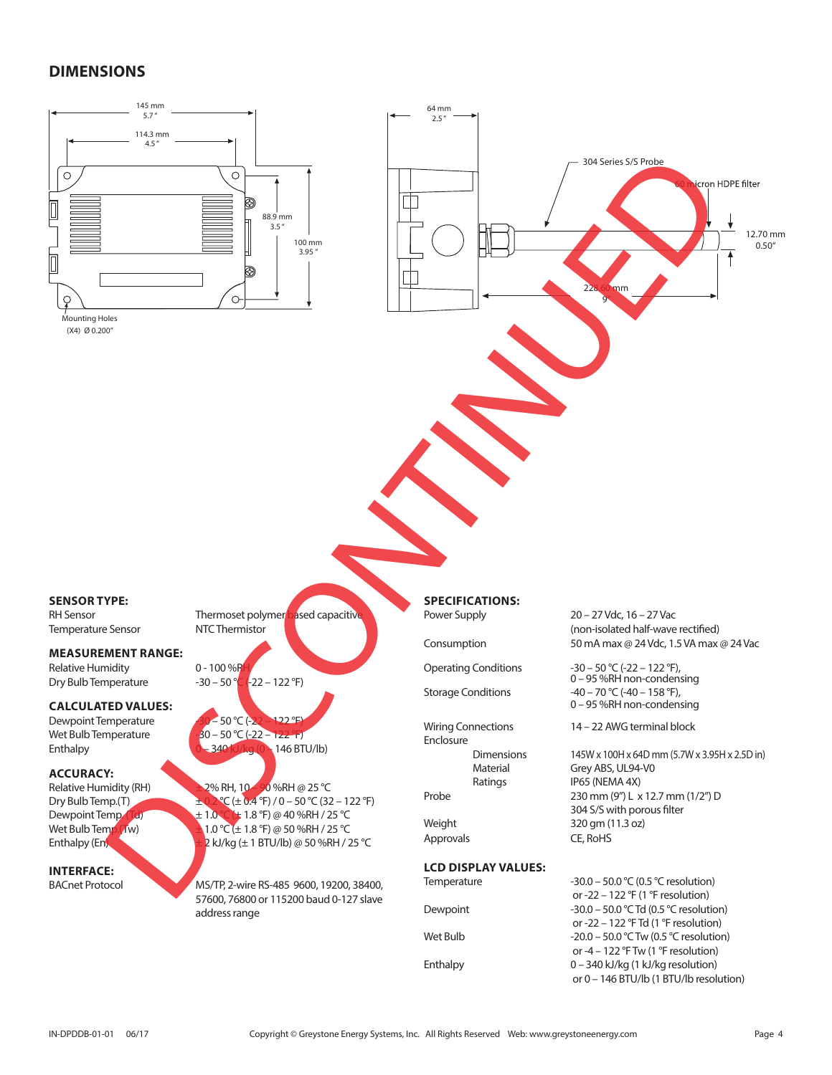## **DIMENSIONS**



|          | or -22 – 122 $\textdegree$ F (1 $\textdegree$ F resolution)   |
|----------|---------------------------------------------------------------|
| Dewpoint | $-30.0 - 50.0$ °C Td (0.5 °C resolution)                      |
|          | or -22 – 122 $\degree$ F Td (1 $\degree$ F resolution)        |
| Wet Bulb | $-20.0 - 50.0$ °C Tw (0.5 °C resolution)                      |
|          | or -4 – 122 $\textdegree$ F Tw (1 $\textdegree$ F resolution) |
| Enthalpy | $0 - 340$ kJ/kg (1 kJ/kg resolution)                          |
|          | or 0 - 146 BTU/lb (1 BTU/lb resolution)                       |
|          |                                                               |

address range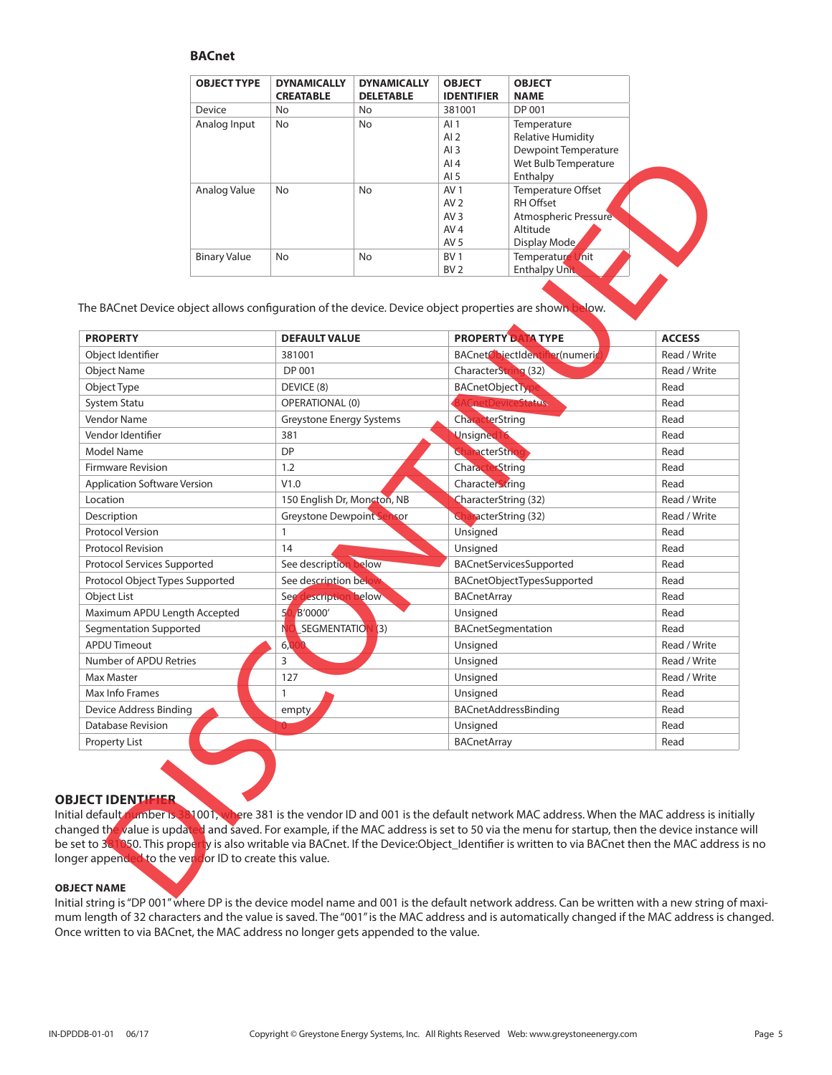#### **BACnet**

| <b>OBJECT TYPE</b>  | <b>DYNAMICALLY</b><br><b>CREATABLE</b> | <b>DYNAMICALLY</b><br><b>DELETABLE</b> | <b>OBJECT</b><br><b>IDENTIFIER</b> | <b>OBJECT</b><br><b>NAME</b> |
|---------------------|----------------------------------------|----------------------------------------|------------------------------------|------------------------------|
| Device              | No                                     | No                                     | 381001                             | DP 001                       |
| Analog Input        | No                                     | No                                     | AI $1$                             | Temperature                  |
|                     |                                        |                                        | AI $2$                             | <b>Relative Humidity</b>     |
|                     |                                        |                                        | AI $3$                             | Dewpoint Temperature         |
|                     |                                        |                                        | AI $4$                             | Wet Bulb Temperature         |
|                     |                                        |                                        | AI $5$                             | Enthalpy                     |
| Analog Value        | No                                     | No                                     | AV <sub>1</sub>                    | Temperature Offset           |
|                     |                                        |                                        | AV <sub>2</sub>                    | RH Offset                    |
|                     |                                        |                                        | AV <sub>3</sub>                    | Atmospheric Pressure         |
|                     |                                        |                                        | AV <sub>4</sub>                    | Altitude                     |
|                     |                                        |                                        | AV <sub>5</sub>                    | Display Mode                 |
| <b>Binary Value</b> | No                                     | No                                     | BV <sub>1</sub>                    | Temperature Unit             |
|                     |                                        |                                        | BV <sub>2</sub>                    | <b>Enthalpy Unit</b>         |

|                                     |                     |                                  | Wet Bulb Temperature<br>AI4                                                                            | Dewpolnt lemperature |
|-------------------------------------|---------------------|----------------------------------|--------------------------------------------------------------------------------------------------------|----------------------|
|                                     |                     |                                  | AI <sub>5</sub><br>Enthalpy                                                                            |                      |
|                                     | Analog Value        | No<br>No                         | AV <sub>1</sub><br>Temperature Offset                                                                  |                      |
|                                     |                     |                                  | RH Offset<br>AV <sub>2</sub>                                                                           |                      |
|                                     |                     |                                  | Atmospheric Pressure<br>AV <sub>3</sub><br>AV <sub>4</sub><br>Altitude                                 |                      |
|                                     |                     |                                  | Display Mode<br>AV <sub>5</sub>                                                                        |                      |
|                                     | <b>Binary Value</b> | No<br>No                         | Temperature Unit<br>BV 1                                                                               |                      |
|                                     |                     |                                  | BV <sub>2</sub><br><b>Enthalpy Unit</b>                                                                |                      |
|                                     |                     |                                  | The BACnet Device object allows configuration of the device. Device object properties are shown below. |                      |
| <b>PROPERTY</b>                     |                     | <b>DEFAULT VALUE</b>             | PROPERTY DATA TYPE                                                                                     | <b>ACCESS</b>        |
| Object Identifier                   |                     | 381001                           | BACnetObjectIdentifier(numeric                                                                         | Read / Write         |
| <b>Object Name</b>                  |                     | DP 001                           | CharacterString (32)                                                                                   | Read / Write         |
| Object Type                         |                     | DEVICE (8)                       | <b>BACnetObjectTyp</b>                                                                                 | Read                 |
| <b>System Statu</b>                 |                     | <b>OPERATIONAL (0)</b>           | CnetDeviceStatus                                                                                       | Read                 |
| Vendor Name                         |                     | Greystone Energy Systems         | CharacterString                                                                                        | Read                 |
| Vendor Identifier                   |                     | 381                              | <b>Unsigned 16</b>                                                                                     | Read                 |
| Model Name                          |                     | <b>DP</b>                        | CharacterString                                                                                        | Read                 |
| <b>Firmware Revision</b>            |                     | 1.2                              | CharacterString                                                                                        | Read                 |
| <b>Application Software Version</b> |                     | V1.0                             | CharacterString                                                                                        | Read                 |
| Location                            |                     | 150 English Dr, Moncton, NB      | CharacterString (32)                                                                                   | Read / Write         |
| Description                         |                     | <b>Greystone Dewpoint Sensor</b> | <b>CharacterString (32)</b>                                                                            | Read / Write         |
| <b>Protocol Version</b>             |                     | $\mathbf{1}$                     | Unsigned                                                                                               | Read                 |
| <b>Protocol Revision</b>            |                     | 14                               | Unsigned                                                                                               | Read                 |
| Protocol Services Supported         |                     | See description below            | BACnetServicesSupported                                                                                | Read                 |
| Protocol Object Types Supported     |                     | See description belo             | BACnetObjectTypesSupported                                                                             | Read                 |
| Object List                         |                     | See description below            | <b>BACnetArray</b>                                                                                     | Read                 |
| Maximum APDU Length Accepted        |                     | 5(<br>B'0000'                    | Unsigned                                                                                               | Read                 |
| Segmentation Supported              |                     | N<br>SEGMENTATION<br>(3)         | BACnetSegmentation                                                                                     | Read                 |
| <b>APDU Timeout</b>                 |                     | 6,0                              | Unsigned                                                                                               | Read / Write         |
| Number of APDU Retries              |                     | 3                                | Unsigned                                                                                               | Read / Write         |
| Max Master                          |                     | 127                              | Unsigned                                                                                               | Read / Write         |
| Max Info Frames                     |                     | 1                                | Unsigned                                                                                               | Read                 |
| Device Address Binding              |                     | empty                            | BACnetAddressBinding                                                                                   | Read                 |
| <b>Database Revision</b>            |                     |                                  | Unsigned                                                                                               | Read                 |
|                                     |                     |                                  | <b>BACnetArray</b>                                                                                     | Read                 |

#### **OBJECT IDENTIFIER**

Initial default number is 381001, where 381 is the vendor ID and 001 is the default network MAC address. When the MAC address is initially changed the value is updated and saved. For example, if the MAC address is set to 50 via the menu for startup, then the device instance will be set to 381050. This property is also writable via BACnet. If the Device:Object\_Identifier is written to via BACnet then the MAC address is no longer appended to the vendor ID to create this value.

#### **OBJECT NAME**

Initial string is "DP 001" where DP is the device model name and 001 is the default network address. Can be written with a new string of maximum length of 32 characters and the value is saved. The "001" is the MAC address and is automatically changed if the MAC address is changed. Once written to via BACnet, the MAC address no longer gets appended to the value.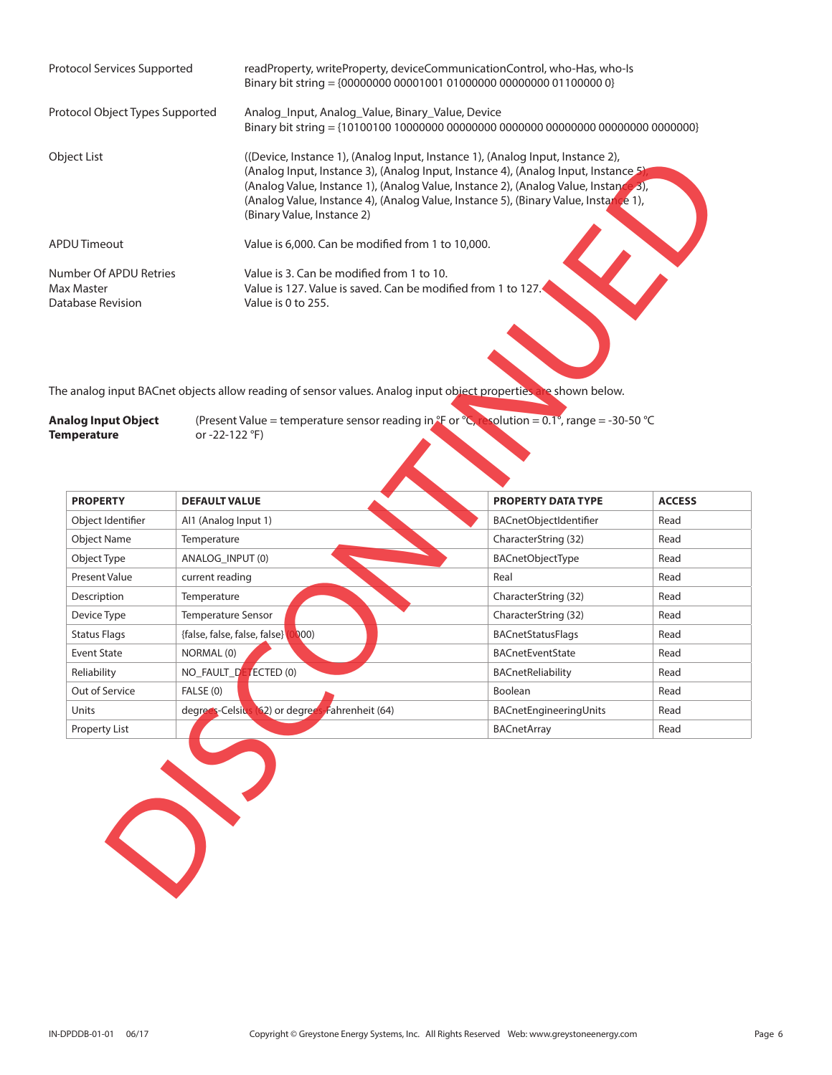| Protocol Services Supported                               | readProperty, writeProperty, deviceCommunicationControl, who-Has, who-Is<br>Binary bit string = {00000000 00001001 01000000 00000000 01100000 0}                                                                                                                                                                                                                                 |
|-----------------------------------------------------------|----------------------------------------------------------------------------------------------------------------------------------------------------------------------------------------------------------------------------------------------------------------------------------------------------------------------------------------------------------------------------------|
| Protocol Object Types Supported                           | Analog Input, Analog Value, Binary Value, Device                                                                                                                                                                                                                                                                                                                                 |
| Object List                                               | ((Device, Instance 1), (Analog Input, Instance 1), (Analog Input, Instance 2),<br>(Analog Input, Instance 3), (Analog Input, Instance 4), (Analog Input, Instance 5)<br>(Analog Value, Instance 1), (Analog Value, Instance 2), (Analog Value, Instance 3),<br>(Analog Value, Instance 4), (Analog Value, Instance 5), (Binary Value, Instance 1),<br>(Binary Value, Instance 2) |
| APDU Timeout                                              | Value is 6,000. Can be modified from 1 to 10,000.                                                                                                                                                                                                                                                                                                                                |
| Number Of APDU Retries<br>Max Master<br>Database Revision | Value is 3. Can be modified from 1 to 10.<br>Value is 127. Value is saved. Can be modified from 1 to 127.<br>Value is 0 to 255.                                                                                                                                                                                                                                                  |

| <b>Analog Input Object</b> | (Present Value = temperature sensor reading in $*$ F or $^{\circ}$ C, resolution = 0.1°, range = -30-50 $^{\circ}$ C |  |  |
|----------------------------|----------------------------------------------------------------------------------------------------------------------|--|--|
| <b>Temperature</b>         | or -22-122 °F)                                                                                                       |  |  |

|                                                       | (Analog Input, Instance 3), (Analog Input, Instance 4), (Analog Input, Instance 5)<br>(Analog Value, Instance 1), (Analog Value, Instance 2), (Analog Value, Instance 3),<br>(Analog Value, Instance 4), (Analog Value, Instance 5), (Binary Value, Instance 1),<br>(Binary Value, Instance 2) | ((Device, Instance 1), (Analog Input, Instance 1), (Analog Input, Instance 2), |               |
|-------------------------------------------------------|------------------------------------------------------------------------------------------------------------------------------------------------------------------------------------------------------------------------------------------------------------------------------------------------|--------------------------------------------------------------------------------|---------------|
| <b>DU Timeout</b>                                     | Value is 6,000. Can be modified from 1 to 10,000.                                                                                                                                                                                                                                              |                                                                                |               |
| umber Of APDU Retries<br>ax Master<br>tabase Revision | Value is 3. Can be modified from 1 to 10.<br>Value is 127. Value is saved. Can be modified from 1 to 127.<br>Value is 0 to 255.                                                                                                                                                                |                                                                                |               |
| alog Input Object<br>mperature                        | e analog input BACnet objects allow reading of sensor values. Analog input object properties are shown below.<br>(Present Value = temperature sensor reading in $\mathcal{F}$ or $\mathcal{E}_{\mathcal{S}}$ esolution = 0.1°, range = -30-50 $\mathcal{C}$<br>or -22-122 °F)                  |                                                                                |               |
| <b>PROPERTY</b>                                       | <b>DEFAULT VALUE</b>                                                                                                                                                                                                                                                                           | <b>PROPERTY DATA TYPE</b>                                                      | <b>ACCESS</b> |
|                                                       |                                                                                                                                                                                                                                                                                                |                                                                                |               |
| Object Identifier                                     | Al1 (Analog Input 1)                                                                                                                                                                                                                                                                           | BACnetObjectIdentifier                                                         | Read          |
| <b>Object Name</b>                                    | Temperature                                                                                                                                                                                                                                                                                    | CharacterString (32)                                                           | Read          |
| Object Type                                           | ANALOG_INPUT (0)                                                                                                                                                                                                                                                                               | BACnetObjectType                                                               | Read          |
| Present Value                                         | current reading                                                                                                                                                                                                                                                                                | Real                                                                           | Read          |
| Description                                           | Temperature                                                                                                                                                                                                                                                                                    | CharacterString (32)                                                           | Read          |
| Device Type                                           | Temperature Sensor                                                                                                                                                                                                                                                                             | CharacterString (32)                                                           | Read          |
| <b>Status Flags</b>                                   | 000)<br>{false, false, false, false}                                                                                                                                                                                                                                                           | BACnetStatusFlags                                                              | Read          |
| <b>Event State</b>                                    | NORMAL (0)                                                                                                                                                                                                                                                                                     | <b>BACnetEventState</b>                                                        | Read          |
| Reliability                                           | NO_FAULT_DE<br>ECTED (0)                                                                                                                                                                                                                                                                       | <b>BACnetReliability</b>                                                       | Read          |
| Out of Service                                        | FALSE (0)                                                                                                                                                                                                                                                                                      | Boolean                                                                        | Read          |
| Units                                                 | degrees-Celsius (62) or degrees<br>Fahrenheit (64)                                                                                                                                                                                                                                             | BACnetEngineeringUnits                                                         | Read          |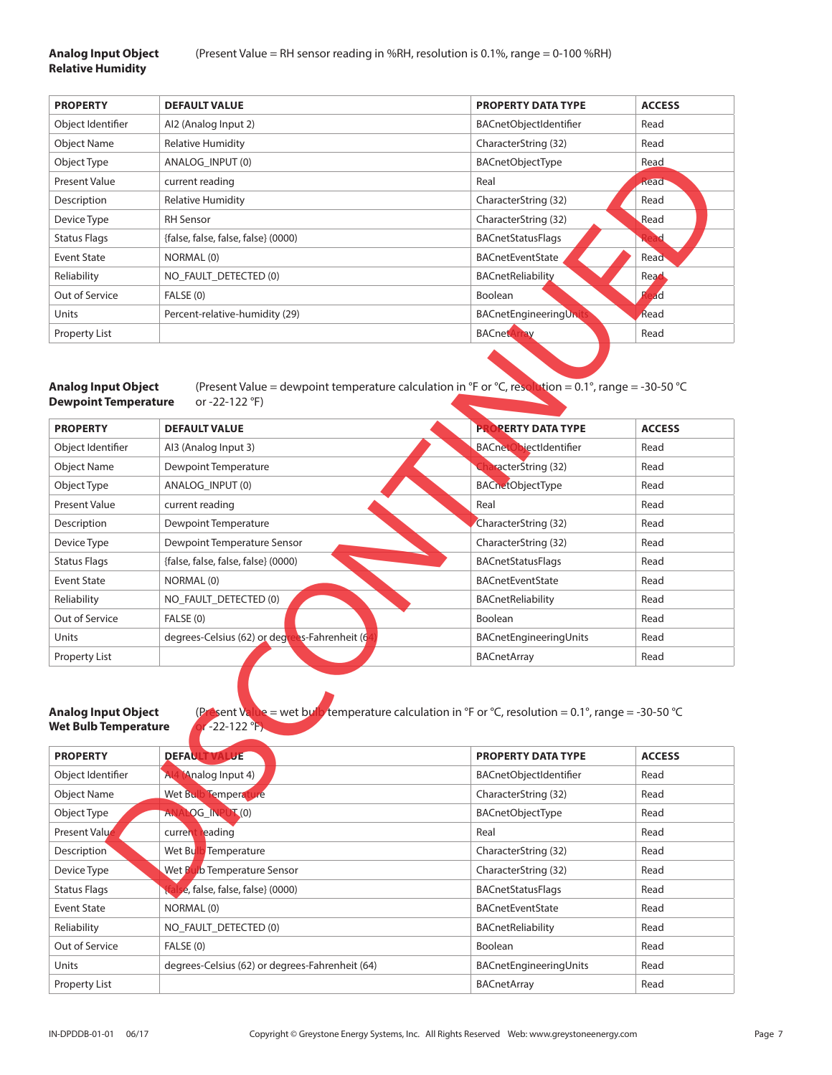## **Relative Humidity**

| <b>PROPERTY</b>      | <b>DEFAULT VALUE</b>                | <b>PROPERTY DATA TYPE</b> | <b>ACCESS</b> |
|----------------------|-------------------------------------|---------------------------|---------------|
| Object Identifier    | Al2 (Analog Input 2)                | BACnetObjectIdentifier    | Read          |
| <b>Object Name</b>   | <b>Relative Humidity</b>            | CharacterString (32)      | Read          |
| Object Type          | ANALOG INPUT (0)                    | <b>BACnetObjectType</b>   | Read          |
| <b>Present Value</b> | current reading                     | Real                      | Read          |
| Description          | <b>Relative Humidity</b>            | CharacterString (32)      | Read          |
| Device Type          | <b>RH</b> Sensor                    | CharacterString (32)      | Read          |
| <b>Status Flags</b>  | {false, false, false, false} (0000) | <b>BACnetStatusFlags</b>  |               |
| <b>Event State</b>   | NORMAL (0)                          | <b>BACnetEventState</b>   | Read          |
| Reliability          | NO FAULT DETECTED (0)               | <b>BACnetReliability</b>  | Read          |
| Out of Service       | FALSE (0)                           | <b>Boolean</b>            | ad            |
| Units                | Percent-relative-humidity (29)      | BACnetEngineeringUni      | Read          |
| Property List        |                                     | <b>BACnetA</b>            | Read          |
|                      |                                     |                           |               |

# **Dewpoint Temperature** or -22-122 °F)

| Object Type                                                                  | ANALOG_INPUT (0)                                                                                                                                        | BACnetObjectType              | Read          |
|------------------------------------------------------------------------------|---------------------------------------------------------------------------------------------------------------------------------------------------------|-------------------------------|---------------|
| <b>Present Value</b>                                                         | current reading                                                                                                                                         | Real                          | Read          |
| Description                                                                  | <b>Relative Humidity</b>                                                                                                                                | CharacterString (32)          | Read          |
| Device Type                                                                  | <b>RH</b> Sensor                                                                                                                                        | CharacterString (32)          | Read          |
| <b>Status Flags</b>                                                          | {false, false, false, false} (0000)                                                                                                                     | <b>BACnetStatusFlags</b>      |               |
| <b>Event State</b>                                                           | NORMAL (0)                                                                                                                                              | BACnetEventState              | Read          |
| Reliability                                                                  | NO_FAULT_DETECTED (0)                                                                                                                                   | <b>BACnetReliability</b>      | Read          |
| Out of Service                                                               | FALSE (0)                                                                                                                                               | Boolean                       | ad            |
| Units                                                                        | Percent-relative-humidity (29)                                                                                                                          | <b>BACnetEngineeringUnit</b>  | Read          |
| <b>Property List</b>                                                         |                                                                                                                                                         | <b>BACnetArray</b>            | Read          |
| <b>Analog Input Object</b><br><b>Dewpoint Temperature</b><br><b>PROPERTY</b> | (Present Value = dewpoint temperature calculation in °F or °C, resolution = $0.1^{\circ}$ , range = -30-50 °C<br>or -22-122 °F)<br><b>DEFAULT VALUE</b> | <b>PROPERTY DATA TYPE</b>     | <b>ACCESS</b> |
| Object Identifier                                                            | Al3 (Analog Input 3)                                                                                                                                    | <b>BACnetObjectIdentifier</b> | Read          |
| <b>Object Name</b>                                                           | Dewpoint Temperature                                                                                                                                    | racterString (32)             | Read          |
| Object Type                                                                  | ANALOG_INPUT (0)                                                                                                                                        | <b>BACnetObjectType</b>       | Read          |
| <b>Present Value</b>                                                         | current reading                                                                                                                                         | Real                          | Read          |
| Description                                                                  | Dewpoint Temperature                                                                                                                                    | CharacterString (32)          | Read          |
| Device Type                                                                  | Dewpoint Temperature Sensor                                                                                                                             | CharacterString (32)          | Read          |
| <b>Status Flags</b>                                                          | {false, false, false, false} (0000)                                                                                                                     | <b>BACnetStatusFlags</b>      | Read          |
| <b>Event State</b>                                                           | NORMAL (0)                                                                                                                                              | <b>BACnetEventState</b>       | Read          |
| Reliability                                                                  | NO_FAULT_DETECTED (0)                                                                                                                                   | <b>BACnetReliability</b>      | Read          |
| Out of Service                                                               | FALSE (0)                                                                                                                                               | Boolean                       | Read          |
| Units                                                                        | degrees-Celsius (62) or degre<br>es-Fahrenheit (6                                                                                                       | BACnetEngineeringUnits        | Read          |
| <b>Property List</b>                                                         |                                                                                                                                                         | <b>BACnetArray</b>            | Read          |
| <b>Analog Input Object</b><br><b>Wet Bulb Temperature</b>                    | (Present Value = wet bully temperature calculation in °F or °C, resolution = 0.1°, range = -30-50 °C<br>$-22-122$ <sup>°F</sup> )                       |                               |               |
| <b>PROPERTY</b>                                                              | <b>DEFAU</b><br>JE                                                                                                                                      | <b>PROPERTY DATA TYPE</b>     | <b>ACCESS</b> |
| Object Identifier                                                            | Al4 (Analog Input 4)                                                                                                                                    | BACnetObjectIdentifier        | Read          |
| <b>Object Name</b>                                                           | Wet Bulb Temperature                                                                                                                                    | CharacterString (32)          | Read          |
| Object Type                                                                  | LOG_INPUT(0)<br>AN/                                                                                                                                     | BACnetObjectType              | Read          |
| Present Value<br><b>Description</b>                                          | current reading                                                                                                                                         | Real                          | Read          |
|                                                                              | Femperature<br>Wet Bulk                                                                                                                                 | CharacterString (32)          | Read          |
| Device Type                                                                  | Wet Bulb Temperature Sensor                                                                                                                             | CharacterString (32)          | Read          |
| <b>Status Flags</b>                                                          | e, false, false, false} (0000)                                                                                                                          | <b>BACnetStatusFlags</b>      | Read          |

## Wet Bulb Temperature **Or -22-122 °F)**

| <b>PROPERTY</b>     | <b>DEFAUL</b><br><b>TVALUE</b>                  | <b>PROPERTY DATA TYPE</b> | <b>ACCESS</b> |
|---------------------|-------------------------------------------------|---------------------------|---------------|
| Object Identifier   | Analog Input 4)<br>A.                           | BACnetObjectIdentifier    | Read          |
| <b>Object Name</b>  | Wet Bu<br><b>Temperature</b>                    | CharacterString (32)      | Read          |
| Object Type         | <b>LOG_INP</b><br>$\mathbf{T}(0)$<br>A.         | <b>BACnetObjectType</b>   | Read          |
| Present Value       | reading<br>curren                               | Real                      | Read          |
| Description         | Wet Bu<br>Temperature                           | CharacterString (32)      | Read          |
| Device Type         | b Temperature Sensor<br>Wet B                   | CharacterString (32)      | Read          |
| <b>Status Flags</b> | e, false, false, false} (0000)                  | <b>BACnetStatusFlags</b>  | Read          |
| Event State         | NORMAL (0)                                      | <b>BACnetEventState</b>   | Read          |
| Reliability         | NO FAULT DETECTED (0)                           | <b>BACnetReliability</b>  | Read          |
| Out of Service      | FALSE (0)                                       | Boolean                   | Read          |
| Units               | degrees-Celsius (62) or degrees-Fahrenheit (64) | BACnetEngineeringUnits    | Read          |
| Property List       |                                                 | <b>BACnetArray</b>        | Read          |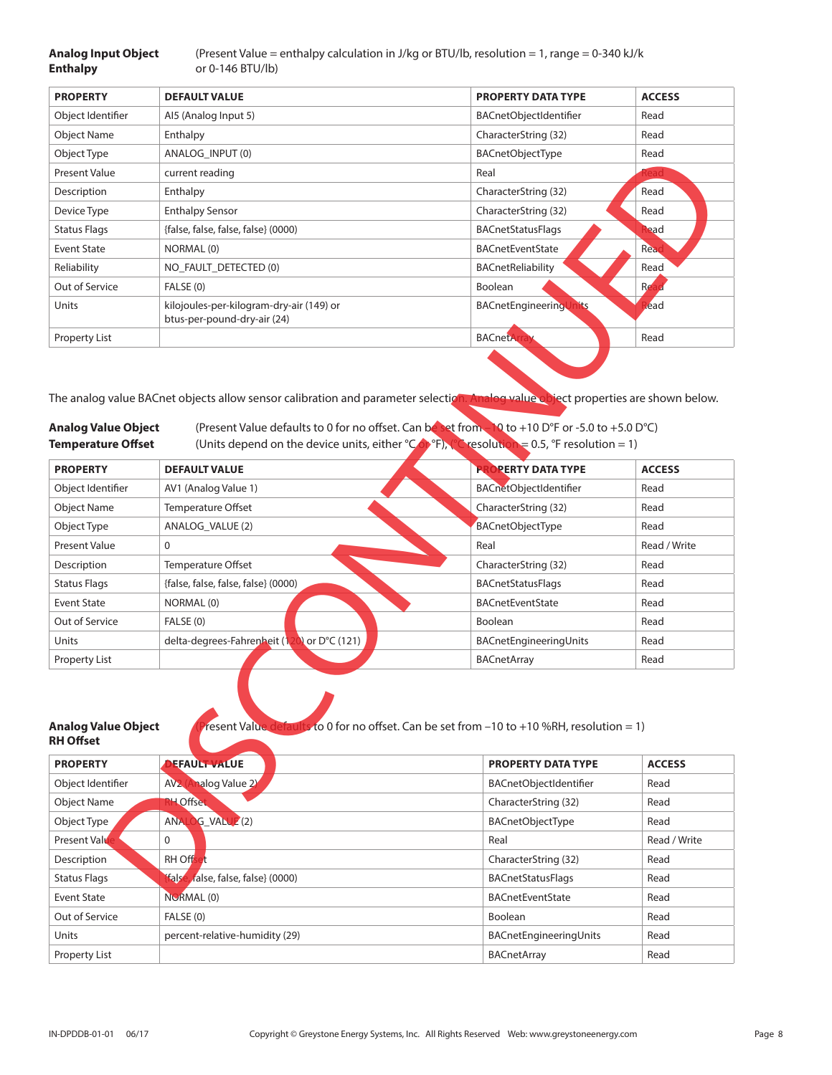## **Enthalpy** or 0-146 BTU/lb)

**Analog Input Object** (Present Value = enthalpy calculation in J/kg or BTU/lb, resolution = 1, range = 0-340 kJ/k

| <b>PROPERTY</b>     | <b>DEFAULT VALUE</b>                                                    | <b>PROPERTY DATA TYPE</b> | <b>ACCESS</b> |
|---------------------|-------------------------------------------------------------------------|---------------------------|---------------|
| Object Identifier   | Al5 (Analog Input 5)                                                    | BACnetObjectIdentifier    | Read          |
| <b>Object Name</b>  | Enthalpy                                                                | CharacterString (32)      | Read          |
| Object Type         | ANALOG INPUT (0)                                                        | BACnetObjectType          | Read          |
| Present Value       | current reading                                                         | Real                      |               |
| Description         | Enthalpy                                                                | CharacterString (32)      | Read          |
| Device Type         | <b>Enthalpy Sensor</b>                                                  | CharacterString (32)      | Read          |
| <b>Status Flags</b> | {false, false, false, false} (0000)                                     | <b>BACnetStatusFlags</b>  | lead          |
| <b>Event State</b>  | NORMAL (0)                                                              | <b>BACnetEventState</b>   | Read          |
| Reliability         | NO FAULT DETECTED (0)                                                   | BACnetReliability         | Read          |
| Out of Service      | FALSE (0)                                                               | Boolean                   | Re.           |
| Units               | kilojoules-per-kilogram-dry-air (149) or<br>btus-per-pound-dry-air (24) | BACnetEngineering         | lead          |
| Property List       |                                                                         | <b>BACnetAr</b>           | Read          |
|                     |                                                                         |                           |               |

| Object Type                                             | ANALOG_INPUT (0)                                                                                                                                                                                                                                                                                                                                                    | <b>BACnetObjectType</b>   | Read          |
|---------------------------------------------------------|---------------------------------------------------------------------------------------------------------------------------------------------------------------------------------------------------------------------------------------------------------------------------------------------------------------------------------------------------------------------|---------------------------|---------------|
| Present Value                                           | current reading                                                                                                                                                                                                                                                                                                                                                     | Real                      |               |
| Description                                             | Enthalpy                                                                                                                                                                                                                                                                                                                                                            | CharacterString (32)      | Read          |
| Device Type                                             | <b>Enthalpy Sensor</b>                                                                                                                                                                                                                                                                                                                                              | CharacterString (32)      | Read          |
| <b>Status Flags</b>                                     | {false, false, false, false} (0000)                                                                                                                                                                                                                                                                                                                                 | <b>BACnetStatusFlags</b>  | ead           |
| <b>Event State</b>                                      | NORMAL (0)                                                                                                                                                                                                                                                                                                                                                          | <b>BACnetEventState</b>   | Rea           |
| Reliability                                             | NO_FAULT_DETECTED (0)                                                                                                                                                                                                                                                                                                                                               | BACnetReliability         | Read          |
| Out of Service                                          | FALSE (0)                                                                                                                                                                                                                                                                                                                                                           | Boolean                   | Re:           |
| Units                                                   | kilojoules-per-kilogram-dry-air (149) or<br>btus-per-pound-dry-air (24)                                                                                                                                                                                                                                                                                             | BACnetEngineeringUnits    | lead          |
| Property List                                           |                                                                                                                                                                                                                                                                                                                                                                     | <b>BACnetAr</b>           | Read          |
| <b>Analog Value Object</b><br><b>Temperature Offset</b> | The analog value BACnet objects allow sensor calibration and parameter selection. Analog value object properties are shown below.<br>(Present Value defaults to 0 for no offset. Can be set from 10 to +10 D°F or -5.0 to +5.0 D°C)<br>(Units depend on the device units, either ${}^{\circ}$ Cop F), ${}^{\circ}$ resolution = 0.5, ${}^{\circ}$ F resolution = 1) |                           |               |
| <b>PROPERTY</b>                                         | <b>DEFAULT VALUE</b>                                                                                                                                                                                                                                                                                                                                                | <b>PROPERTY DATA TYPE</b> | <b>ACCESS</b> |
| Object Identifier                                       | AV1 (Analog Value 1)                                                                                                                                                                                                                                                                                                                                                | BACnetObjectIdentifier    | Read          |
| <b>Object Name</b>                                      | Temperature Offset                                                                                                                                                                                                                                                                                                                                                  | CharacterString (32)      | Read          |
| Object Type                                             | ANALOG_VALUE (2)                                                                                                                                                                                                                                                                                                                                                    | <b>BACnetObjectType</b>   | Read          |
| Present Value                                           | 0                                                                                                                                                                                                                                                                                                                                                                   | Real                      | Read / Write  |
| Description                                             | Temperature Offset                                                                                                                                                                                                                                                                                                                                                  | CharacterString (32)      | Read          |
| <b>Status Flags</b>                                     | {false, false, false, false} (0000)                                                                                                                                                                                                                                                                                                                                 | <b>BACnetStatusFlags</b>  | Read          |
| <b>Event State</b>                                      | NORMAL (0)                                                                                                                                                                                                                                                                                                                                                          | <b>BACnetEventState</b>   | Read          |
| Out of Service                                          | FALSE (0)                                                                                                                                                                                                                                                                                                                                                           | Boolean                   | Read          |
| Units                                                   | delta-degrees-Fahrenheit (120) or D°C (121)                                                                                                                                                                                                                                                                                                                         | BACnetEngineeringUnits    | Read          |
| Property List                                           |                                                                                                                                                                                                                                                                                                                                                                     | <b>BACnetArray</b>        | Read          |
| <b>Analog Value Object</b><br><b>RH Offset</b>          | resent Value defaults to 0 for no offset. Can be set from -10 to +10 %RH, resolution = 1)                                                                                                                                                                                                                                                                           |                           |               |
| <b>PROPERTY</b>                                         | <b>DEFAULT VALUE</b>                                                                                                                                                                                                                                                                                                                                                | PROPERTY DATA TYPE        | <b>ACCESS</b> |
| Object Identifier                                       | AV2 (Analog Value 2)                                                                                                                                                                                                                                                                                                                                                | BACnetObjectIdentifier    | Read          |
| <b>Object Name</b>                                      | <b>H</b> Offset                                                                                                                                                                                                                                                                                                                                                     | CharacterString (32)      | Read          |
| Object Type                                             | ANALOG_VALUE <sup>2</sup> (2)                                                                                                                                                                                                                                                                                                                                       | BACnetObjectType          | Read          |
| <b>Present Value</b>                                    | 0                                                                                                                                                                                                                                                                                                                                                                   | Real                      | Read / Write  |
| Description                                             | <b>RH</b> Offset                                                                                                                                                                                                                                                                                                                                                    | CharacterString (32)      | Read          |
| <b>Status Flags</b>                                     | fals<br>false, false, false} (0000)                                                                                                                                                                                                                                                                                                                                 | <b>BACnetStatusFlags</b>  | Read          |
| <b>Fyent State</b>                                      | NORMAL (0)                                                                                                                                                                                                                                                                                                                                                          | <b>RACnetFyentState</b>   | Read          |

| resent Value defaults to 0 for no offset. Can be set from -10 to +10 %RH, resolution = 1)<br><b>Analog Value Object</b><br>RH Offset |                                              |                               |               |
|--------------------------------------------------------------------------------------------------------------------------------------|----------------------------------------------|-------------------------------|---------------|
| <b>PROPERTY</b>                                                                                                                      | <b>EFAULT VALUE</b>                          | <b>PROPERTY DATA TYPE</b>     | <b>ACCESS</b> |
| Object Identifier                                                                                                                    | alog Value 2<br>AV <sub>2</sub>              | <b>BACnetObjectIdentifier</b> | Read          |
| <b>Object Name</b>                                                                                                                   | <b>RH Offset</b>                             | CharacterString (32)          | Read          |
| Object Type                                                                                                                          | <b>ANAI</b><br><b>G_VALUE</b> <sup>(2)</sup> | <b>BACnetObjectType</b>       | Read          |
| <b>Present Value</b>                                                                                                                 | 0                                            | Real                          | Read / Write  |
| Description                                                                                                                          | RH Off                                       | CharacterString (32)          | Read          |
| <b>Status Flags</b>                                                                                                                  | <b>fals</b><br>false, false, false} (0000)   | <b>BACnetStatusFlags</b>      | Read          |
| Event State                                                                                                                          | NORMAL <sub>(0)</sub>                        | <b>BACnetEventState</b>       | Read          |
| Out of Service                                                                                                                       | FALSE (0)                                    | <b>Boolean</b>                | Read          |
| Units                                                                                                                                | percent-relative-humidity (29)               | BACnetEngineeringUnits        | Read          |
| Property List                                                                                                                        |                                              | <b>BACnetArray</b>            | Read          |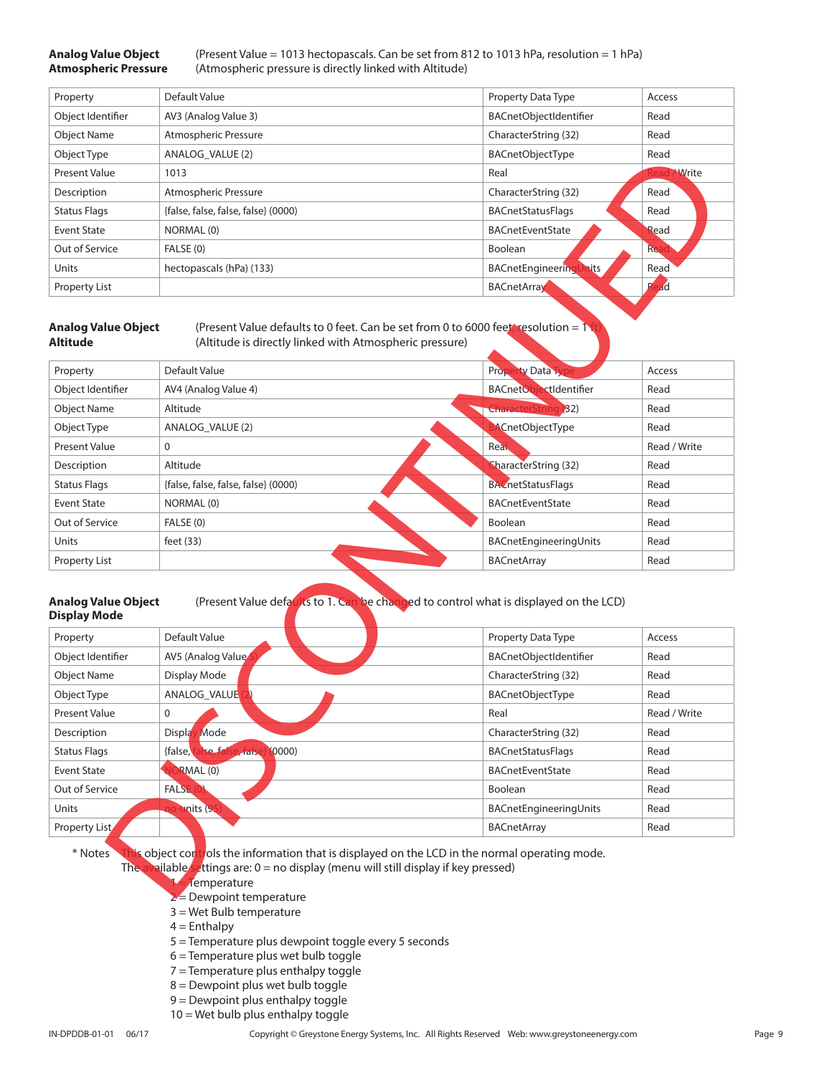**Analog Value Object** (Present Value = 1013 hectopascals. Can be set from 812 to 1013 hPa, resolution = 1 hPa) **Atmospheric Pressure** (Atmospheric pressure is directly linked with Altitude)

| Property             | Default Value                       | Property Data Type                | Access       |
|----------------------|-------------------------------------|-----------------------------------|--------------|
| Object Identifier    | AV3 (Analog Value 3)                | BACnetObjectIdentifier            | Read         |
| <b>Object Name</b>   | Atmospheric Pressure                | CharacterString (32)              | Read         |
| Object Type          | ANALOG VALUE (2)                    | <b>BACnetObjectType</b>           | Read         |
| <b>Present Value</b> | 1013                                | Real                              | <b>Write</b> |
| Description          | Atmospheric Pressure                | CharacterString (32)              | Read         |
| <b>Status Flags</b>  | {false, false, false, false} (0000) | <b>BACnetStatusFlags</b>          | Read         |
| <b>Event State</b>   | NORMAL (0)                          | <b>BACnetEventState</b>           | Read         |
| Out of Service       | FALSE (0)                           | Boolean                           | <b>Re</b>    |
| <b>Units</b>         | hectopascals (hPa) (133)            | <b>hits</b><br>BACnetEngineeringl | Read         |
| Property List        |                                     | <b>BACnetArray</b>                | D<br>ad      |

|                                                                                                                                                                                                                                                                                   | ANALOG_VALUE (2)                                                                                                                                                                                                                                                                                                                                      | <b>BACnetObjectType</b>                                                                                     | Read         |
|-----------------------------------------------------------------------------------------------------------------------------------------------------------------------------------------------------------------------------------------------------------------------------------|-------------------------------------------------------------------------------------------------------------------------------------------------------------------------------------------------------------------------------------------------------------------------------------------------------------------------------------------------------|-------------------------------------------------------------------------------------------------------------|--------------|
| <b>Present Value</b>                                                                                                                                                                                                                                                              | 1013                                                                                                                                                                                                                                                                                                                                                  | Real                                                                                                        | Write        |
| Description                                                                                                                                                                                                                                                                       | Atmospheric Pressure                                                                                                                                                                                                                                                                                                                                  | CharacterString (32)                                                                                        | Read         |
| <b>Status Flags</b>                                                                                                                                                                                                                                                               | {false, false, false, false} (0000)                                                                                                                                                                                                                                                                                                                   | <b>BACnetStatusFlags</b>                                                                                    | Read         |
| <b>Event State</b>                                                                                                                                                                                                                                                                | NORMAL (0)                                                                                                                                                                                                                                                                                                                                            | <b>BACnetEventState</b>                                                                                     | Read         |
| Out of Service                                                                                                                                                                                                                                                                    | FALSE (0)                                                                                                                                                                                                                                                                                                                                             | Boolean                                                                                                     | Rea          |
| Units                                                                                                                                                                                                                                                                             | hectopascals (hPa) (133)                                                                                                                                                                                                                                                                                                                              | <b>BACnetEngineeringUnits</b>                                                                               | Read         |
| <b>Property List</b>                                                                                                                                                                                                                                                              |                                                                                                                                                                                                                                                                                                                                                       | <b>BACnetArray</b>                                                                                          | ad           |
| <b>Analog Value Object</b><br><b>Altitude</b>                                                                                                                                                                                                                                     | (Present Value defaults to 0 feet. Can be set from 0 to 6000 feet, resolution = 1)<br>(Altitude is directly linked with Atmospheric pressure)                                                                                                                                                                                                         |                                                                                                             |              |
| Property                                                                                                                                                                                                                                                                          | Default Value                                                                                                                                                                                                                                                                                                                                         | <b>Property Data Typ</b>                                                                                    | Access       |
| Object Identifier                                                                                                                                                                                                                                                                 | AV4 (Analog Value 4)                                                                                                                                                                                                                                                                                                                                  | BACnetObjectIdentifier                                                                                      | Read         |
| <b>Object Name</b>                                                                                                                                                                                                                                                                | Altitude                                                                                                                                                                                                                                                                                                                                              | <b>CharacterString (32)</b>                                                                                 | Read         |
| Object Type                                                                                                                                                                                                                                                                       | ANALOG_VALUE (2)                                                                                                                                                                                                                                                                                                                                      | <b>ACnetObjectType</b>                                                                                      | Read         |
| <b>Present Value</b>                                                                                                                                                                                                                                                              | 0                                                                                                                                                                                                                                                                                                                                                     | Real                                                                                                        | Read / Write |
| Description                                                                                                                                                                                                                                                                       | Altitude                                                                                                                                                                                                                                                                                                                                              | CharacterString (32)                                                                                        | Read         |
| <b>Status Flags</b>                                                                                                                                                                                                                                                               | {false, false, false, false} (0000)                                                                                                                                                                                                                                                                                                                   | <b>BACnetStatusFlags</b>                                                                                    | Read         |
| <b>Event State</b>                                                                                                                                                                                                                                                                | NORMAL (0)                                                                                                                                                                                                                                                                                                                                            | <b>BACnetEventState</b>                                                                                     | Read         |
| Out of Service                                                                                                                                                                                                                                                                    | FALSE (0)                                                                                                                                                                                                                                                                                                                                             | Boolean                                                                                                     | Read         |
|                                                                                                                                                                                                                                                                                   |                                                                                                                                                                                                                                                                                                                                                       |                                                                                                             |              |
|                                                                                                                                                                                                                                                                                   | feet $(33)$                                                                                                                                                                                                                                                                                                                                           | BACnetEngineeringUnits                                                                                      | Read         |
|                                                                                                                                                                                                                                                                                   |                                                                                                                                                                                                                                                                                                                                                       | <b>BACnetArray</b>                                                                                          | Read         |
|                                                                                                                                                                                                                                                                                   | Default Value                                                                                                                                                                                                                                                                                                                                         | (Present Value defaults to 1. Can be changed to control what is displayed on the LCD)<br>Property Data Type | Access       |
|                                                                                                                                                                                                                                                                                   | AV5 (Analog Value                                                                                                                                                                                                                                                                                                                                     | BACnetObjectIdentifier                                                                                      | Read         |
|                                                                                                                                                                                                                                                                                   | Display Mode                                                                                                                                                                                                                                                                                                                                          | CharacterString (32)                                                                                        | Read         |
|                                                                                                                                                                                                                                                                                   | ANALOG_VALUE                                                                                                                                                                                                                                                                                                                                          | BACnetObjectType                                                                                            | Read         |
|                                                                                                                                                                                                                                                                                   | 0                                                                                                                                                                                                                                                                                                                                                     | Real                                                                                                        | Read / Write |
|                                                                                                                                                                                                                                                                                   | Display Mode                                                                                                                                                                                                                                                                                                                                          | CharacterString (32)                                                                                        | Read         |
|                                                                                                                                                                                                                                                                                   | false, false, fal<br>(0000)<br>$e$ $\frac{1}{2}$ $\frac{1}{2}$ $\frac{1}{2}$ $\frac{1}{2}$ $\frac{1}{2}$ $\frac{1}{2}$ $\frac{1}{2}$ $\frac{1}{2}$ $\frac{1}{2}$ $\frac{1}{2}$ $\frac{1}{2}$ $\frac{1}{2}$ $\frac{1}{2}$ $\frac{1}{2}$ $\frac{1}{2}$ $\frac{1}{2}$ $\frac{1}{2}$ $\frac{1}{2}$ $\frac{1}{2}$ $\frac{1}{2}$ $\frac{1}{2}$ $\frac{1}{2$ | <b>BACnetStatusFlags</b>                                                                                    | Read         |
|                                                                                                                                                                                                                                                                                   | <b>JORMAL</b> (0)                                                                                                                                                                                                                                                                                                                                     | BACnetEventState                                                                                            | Read         |
|                                                                                                                                                                                                                                                                                   | FALSE <sub>(0</sub>                                                                                                                                                                                                                                                                                                                                   | Boolean                                                                                                     | Read         |
| Units<br>Property List<br><b>Analog Value Object</b><br><b>Display Mode</b><br>Property<br>Object Identifier<br><b>Object Name</b><br>Object Type<br><b>Present Value</b><br>Description<br><b>Status Flags</b><br><b>Event State</b><br>Out of Service<br>Units<br>Property List | mits (95                                                                                                                                                                                                                                                                                                                                              | BACnetEngineeringUnits<br><b>BACnetArray</b>                                                                | Read<br>Read |

#### **Analog Value Object** (Present Value defaults to 1. Can be changed to control what is displayed on the LCD) **Display Mode**

| Property             | Default Value                                     | Property Data Type       | Access       |
|----------------------|---------------------------------------------------|--------------------------|--------------|
| Object Identifier    | AV5 (Analog Value                                 | BACnetObjectIdentifier   | Read         |
| <b>Object Name</b>   | Display Mode                                      | CharacterString (32)     | Read         |
| Object Type          | ANALOG VALUE                                      | <b>BACnetObjectType</b>  | Read         |
| <b>Present Value</b> | $\mathbf 0$                                       | Real                     | Read / Write |
| Description          | Mode<br><b>Displa</b>                             | CharacterString (32)     | Read         |
| <b>Status Flags</b>  | {false,<br><b>Ye fat</b><br>(0000)<br>$rac{1}{2}$ | <b>BACnetStatusFlags</b> | Read         |
| <b>Event State</b>   | RMAL (0)                                          | <b>BACnetEventState</b>  | Read         |
| Out of Service       | <b>FALSE</b>                                      | Boolean                  | Read         |
| Units                | units (95                                         | BACnetEngineeringUnits   | Read         |
| Property List        |                                                   | <b>BACnetArray</b>       | Read         |

- Temperature
- $2$  = Dewpoint temperature
- 3 = Wet Bulb temperature
- $4 = Enthalpy$
- 5 = Temperature plus dewpoint toggle every 5 seconds
- 6 = Temperature plus wet bulb toggle
- 7 = Temperature plus enthalpy toggle
- 8 = Dewpoint plus wet bulb toggle
- 9 = Dewpoint plus enthalpy toggle
- 10 = Wet bulb plus enthalpy toggle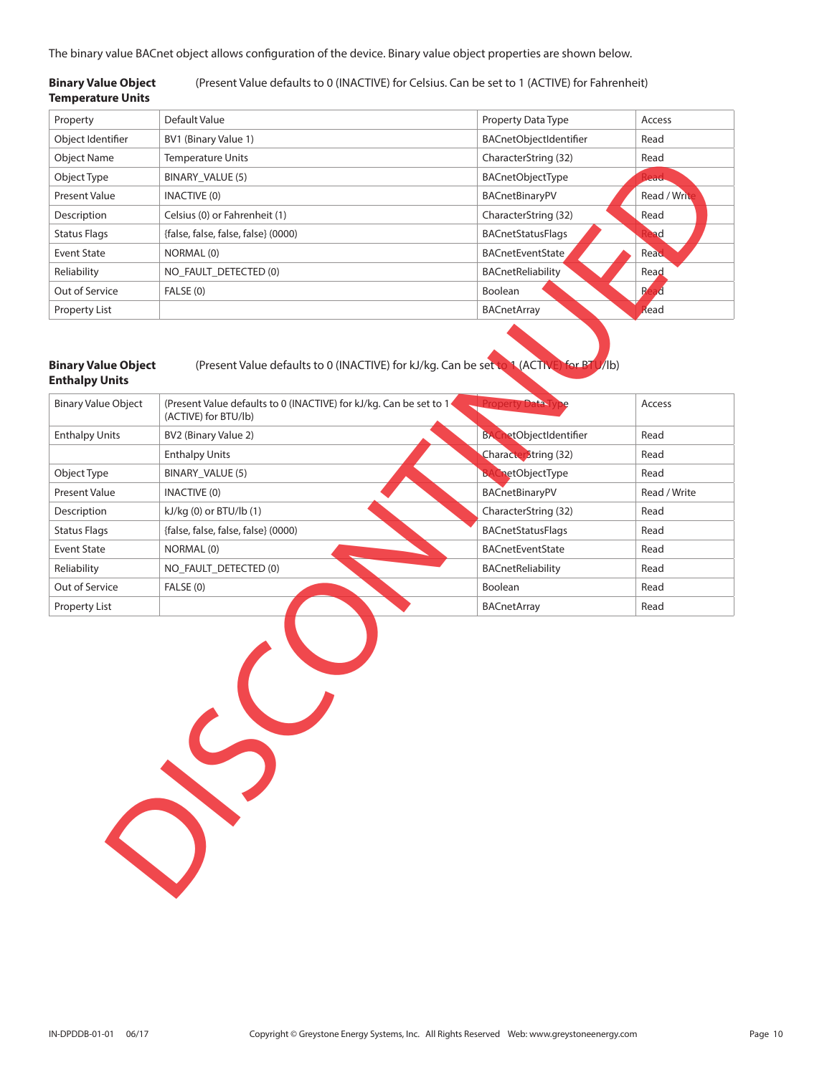The binary value BACnet object allows configuration of the device. Binary value object properties are shown below.

#### **Binary Value Object** (Present Value defaults to 0 (INACTIVE) for Celsius. Can be set to 1 (ACTIVE) for Fahrenheit) **Temperature Units**

| Property            | Default Value                       | Property Data Type       | Access       |
|---------------------|-------------------------------------|--------------------------|--------------|
| Object Identifier   | BV1 (Binary Value 1)                | BACnetObjectIdentifier   | Read         |
| <b>Object Name</b>  | <b>Temperature Units</b>            | CharacterString (32)     | Read         |
| Object Type         | BINARY_VALUE (5)                    | BACnetObjectType         | lead.        |
| Present Value       | <b>INACTIVE (0)</b>                 | BACnetBinaryPV           | Read / Write |
| Description         | Celsius (0) or Fahrenheit (1)       | CharacterString (32)     | Read         |
| <b>Status Flags</b> | {false, false, false, false} (0000) | <b>BACnetStatusFlags</b> | ad           |
| Event State         | NORMAL (0)                          | <b>BACnetEventState</b>  | Read         |
| Reliability         | NO FAULT DETECTED (0)               | BACnetReliability        | Read         |
| Out of Service      | FALSE (0)                           | Boolean                  | R            |
| Property List       |                                     | BACnetArray              | kead         |

#### **Binary Value Object** (Present Value defaults to 0 (INACTIVE) for kJ/kg. Can be set to 1 (ACTIVE) for BTU/lb) **Enthalpy Units**

Property Read Discontinued

| <b>Binary Value Object</b> | (Present Value defaults to 0 (INACTIVE) for kJ/kg. Can be set to 1<br>(ACTIVE) for BTU/lb) |                                  | Access       |
|----------------------------|--------------------------------------------------------------------------------------------|----------------------------------|--------------|
| <b>Enthalpy Units</b>      | BV2 (Binary Value 2)                                                                       | etObjectIdentifier<br><b>BAC</b> | Read         |
|                            | <b>Enthalpy Units</b>                                                                      | <b>CharacterString (32)</b>      | Read         |
| Object Type                | BINARY VALUE (5)                                                                           | netObjectType<br>ы               | Read         |
| Present Value              | INACTIVE (0)                                                                               | BACnetBinaryPV                   | Read / Write |
| Description                | $kJ/kg$ (0) or BTU/lb (1)                                                                  | CharacterString (32)             | Read         |
| <b>Status Flags</b>        | {false, false, false, false} (0000)                                                        | <b>BACnetStatusFlags</b>         | Read         |
| Event State                | NORMAL (0)                                                                                 | <b>BACnetEventState</b>          | Read         |
| Reliability                | NO FAULT DETECTED (0)                                                                      | <b>BACnetReliability</b>         | Read         |
| Out of Service             | FALSE (0)                                                                                  | Boolean                          | Read         |
| Property List              |                                                                                            | <b>BACnetArray</b>               | Read         |